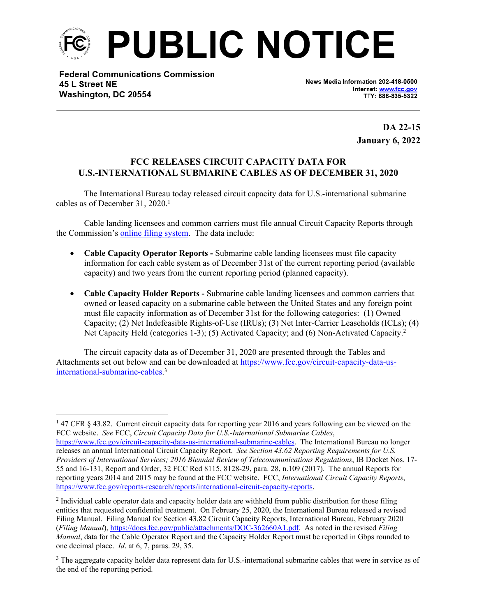

**Federal Communications Commission** 45 L Street NE Washington, DC 20554

News Media Information 202-418-0500 Internet: www.fcc.gov TTY: 888-835-5322

> **DA 22-15 January 6, 2022**

## **FCC RELEASES CIRCUIT CAPACITY DATA FOR U.S.-INTERNATIONAL SUBMARINE CABLES AS OF DECEMBER 31, 2020**

The International Bureau today released circuit capacity data for U.S.-international submarine cables as of December 31, 2020.<sup>1</sup>

Cable landing licensees and common carriers must file annual Circuit Capacity Reports through the Commission's [online filing system.](https://apps2.fcc.gov/section4362/login.xhtml) The data include:

- **Cable Capacity Operator Reports -** Submarine cable landing licensees must file capacity information for each cable system as of December 31st of the current reporting period (available capacity) and two years from the current reporting period (planned capacity).
- **Cable Capacity Holder Reports -** Submarine cable landing licensees and common carriers that owned or leased capacity on a submarine cable between the United States and any foreign point must file capacity information as of December 31st for the following categories: (1) Owned Capacity; (2) Net Indefeasible Rights-of-Use (IRUs); (3) Net Inter-Carrier Leaseholds (ICLs); (4) Net Capacity Held (categories 1-3); (5) Activated Capacity; and (6) Non-Activated Capacity.<sup>2</sup>

The circuit capacity data as of December 31, 2020 are presented through the Tables and Attachments set out below and can be downloaded at [https://www.fcc.gov/circuit-capacity-data-us](https://www.fcc.gov/circuit-capacity-data-us-international-submarine-cables)[international-submarine-cables](https://www.fcc.gov/circuit-capacity-data-us-international-submarine-cables).<sup>3</sup>

<sup>&</sup>lt;sup>1</sup> 47 CFR § 43.82. Current circuit capacity data for reporting year 2016 and years following can be viewed on the FCC website. *See* FCC, *Circuit Capacity Data for U.S.-International Submarine Cables*,

[https://www.fcc.gov/circuit-capacity-data-us-international-submarine-cables.](https://www.fcc.gov/circuit-capacity-data-us-international-submarine-cables) The International Bureau no longer releases an annual International Circuit Capacity Report. *See Section 43.62 Reporting Requirements for U.S. Providers of International Services; 2016 Biennial Review of Telecommunications Regulations*, IB Docket Nos. 17- 55 and 16-131, Report and Order, 32 FCC Rcd 8115, 8128-29, para. 28, n.109 (2017). The annual Reports for reporting years 2014 and 2015 may be found at the FCC website. FCC, *International Circuit Capacity Reports*, <https://www.fcc.gov/reports-research/reports/international-circuit-capacity-reports>.

 $2$  Individual cable operator data and capacity holder data are withheld from public distribution for those filing entities that requested confidential treatment. On February 25, 2020, the International Bureau released a revised Filing Manual. Filing Manual for Section 43.82 Circuit Capacity Reports, International Bureau, February 2020 (*Filing Manual*), [https://docs.fcc.gov/public/attachments/DOC-362660A1.pdf.](https://docs.fcc.gov/public/attachments/DOC-362660A1.pdf) As noted in the revised *Filing Manual*, data for the Cable Operator Report and the Capacity Holder Report must be reported in Gbps rounded to one decimal place. *Id*. at 6, 7, paras. 29, 35.

<sup>&</sup>lt;sup>3</sup> The aggregate capacity holder data represent data for U.S.-international submarine cables that were in service as of the end of the reporting period.